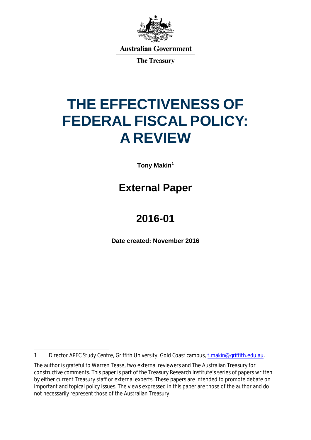

**Australian Government** 

**The Treasury** 

# **THE EFFECTIVENESS OF FEDERAL FISCAL POLICY: A REVIEW**

**Tony Makin[1](#page-0-0)**

# **External Paper**

# **2016-01**

**Date created: November 2016**

<span id="page-0-0"></span> $\overline{a}$ 1 Director APEC Study Centre, Griffith University, Gold Coast campus, [t.makin@griffith.edu.au.](mailto:t.makin@griffith.edu.au)

The author is grateful to Warren Tease, two external reviewers and The Australian Treasury for constructive comments. This paper is part of the Treasury Research Institute's series of papers written by either current Treasury staff or external experts. These papers are intended to promote debate on important and topical policy issues. The views expressed in this paper are those of the author and do not necessarily represent those of the Australian Treasury.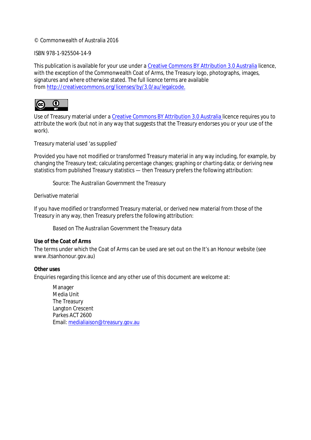#### © Commonwealth of Australia 2016

#### ISBN 978-1-925504-14-9

This publication is available for your use under a [Creative Commons BY Attribution 3.0 Australia](http://creativecommons.org/licenses/by/3.0/au/deed.en) licence, with the exception of the Commonwealth Coat of Arms, the Treasury logo, photographs, images, signatures and where otherwise stated. The full licence terms are available from [http://creativecommons.org/licenses/by/3.0/au/legalcode.](http://creativecommons.org/licenses/by/3.0/au/legalcode)



Use of Treasury material under a [Creative Commons BY Attribution 3.0 Australia](http://creativecommons.org/licenses/by/3.0/au/deed.en) licence requires you to attribute the work (but not in any way that suggests that the Treasury endorses you or your use of the work).

#### *Treasury material used 'as supplied'*

Provided you have not modified or transformed Treasury material in any way including, for example, by changing the Treasury text; calculating percentage changes; graphing or charting data; or deriving new statistics from published Treasury statistics — then Treasury prefers the following attribution:

*Source: The Australian Government the Treasury*

Derivative material

If you have modified or transformed Treasury material, or derived new material from those of the Treasury in any way, then Treasury prefers the following attribution:

*Based on The Australian Government the Treasury data*

#### **Use of the Coat of Arms**

The terms under which the Coat of Arms can be used are set out on the It's an Honour website (see [www.itsanhonour.gov.au\)](http://www.itsanhonour.gov.au/)

#### **Other uses**

Enquiries regarding this licence and any other use of this document are welcome at:

Manager Media Unit The Treasury Langton Crescent Parkes ACT 2600 Email: [medialiaison@treasury.gov.au](mailto:medialiaison@treasury.gov.au)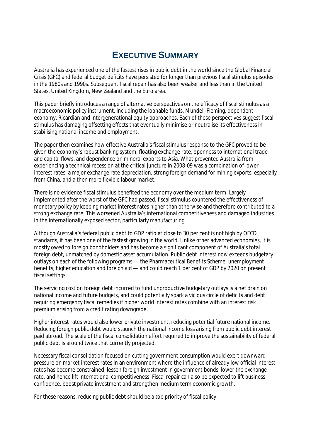# **EXECUTIVE SUMMARY**

Australia has experienced one of the fastest rises in public debt in the world since the Global Financial Crisis (GFC) and federal budget deficits have persisted for longer than previous fiscal stimulus episodes in the 1980s and 1990s. Subsequent fiscal repair has also been weaker and less than in the United States, United Kingdom, New Zealand and the Euro area.

This paper briefly introduces a range of alternative perspectives on the efficacy of fiscal stimulus as a macroeconomic policy instrument, including the loanable funds, Mundell-Fleming, dependent economy, Ricardian and intergenerational equity approaches. Each of these perspectives suggest fiscal stimulus has damaging offsetting effects that eventually minimise or neutralise its effectiveness in stabilising national income and employment.

The paper then examines how effective Australia's fiscal stimulus response to the GFC proved to be given the economy's robust banking system, floating exchange rate, openness to international trade and capital flows, and dependence on mineral exports to Asia. What prevented Australia from experiencing a technical recession at the critical juncture in 2008-09 was a combination of lower interest rates, a major exchange rate depreciation, strong foreign demand for mining exports, especially from China, and a then more flexible labour market.

There is no evidence fiscal stimulus benefited the economy over the medium term. Largely implemented after the worst of the GFC had passed, fiscal stimulus countered the effectiveness of monetary policy by keeping market interest rates higher than otherwise and therefore contributed to a strong exchange rate. This worsened Australia's international competitiveness and damaged industries in the internationally exposed sector, particularly manufacturing.

Although Australia's federal public debt to GDP ratio at close to 30 per cent is not high by OECD standards, it has been one of the fastest growing in the world. Unlike other advanced economies, it is mostly owed to foreign bondholders and has become a significant component of Australia's total foreign debt, unmatched by domestic asset accumulation. Public debt interest now exceeds budgetary outlays on each of the following programs — the Pharmaceutical Benefits Scheme, unemployment benefits, higher education and foreign aid — and could reach 1 per cent of GDP by 2020 on present fiscal settings.

The servicing cost on foreign debt incurred to fund unproductive budgetary outlays is a net drain on national income and future budgets, and could potentially spark a vicious circle of deficits and debt requiring emergency fiscal remedies if higher world interest rates combine with an interest risk premium arising from a credit rating downgrade.

Higher interest rates would also lower private investment, reducing potential future national income. Reducing foreign public debt would staunch the national income loss arising from public debt interest paid abroad. The scale of the fiscal consolidation effort required to improve the sustainability of federal public debt is around twice that currently projected.

Necessary fiscal consolidation focused on cutting government consumption would exert downward pressure on market interest rates in an environment where the influence of already low official interest rates has become constrained, lessen foreign investment in government bonds, lower the exchange rate, and hence lift international competitiveness. Fiscal repair can also be expected to lift business confidence, boost private investment and strengthen medium term economic growth.

For these reasons, reducing public debt should be a top priority of fiscal policy.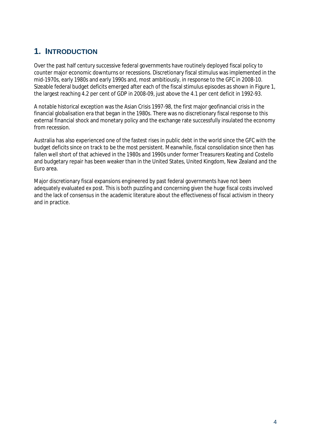### **1. INTRODUCTION**

Over the past half century successive federal governments have routinely deployed fiscal policy to counter major economic downturns or recessions. Discretionary fiscal stimulus was implemented in the mid-1970s, early 1980s and early 1990s and, most ambitiously, in response to the GFC in 2008-10. Sizeable federal budget deficits emerged after each of the fiscal stimulus episodes as shown in Figure 1, the largest reaching 4.2 per cent of GDP in 2008-09, just above the 4.1 per cent deficit in 1992-93.

A notable historical exception was the Asian Crisis 1997-98, the first major geofinancial crisis in the financial globalisation era that began in the 1980s. There was no discretionary fiscal response to this external financial shock and monetary policy and the exchange rate successfully insulated the economy from recession.

Australia has also experienced one of the fastest rises in public debt in the world since the GFC with the budget deficits since on track to be the most persistent. Meanwhile, fiscal consolidation since then has fallen well short of that achieved in the 1980s and 1990s under former Treasurers Keating and Costello and budgetary repair has been weaker than in the United States, United Kingdom, New Zealand and the Euro area.

Major discretionary fiscal expansions engineered by past federal governments have not been adequately evaluated ex post. This is both puzzling and concerning given the huge fiscal costs involved and the lack of consensus in the academic literature about the effectiveness of fiscal activism in theory and in practice.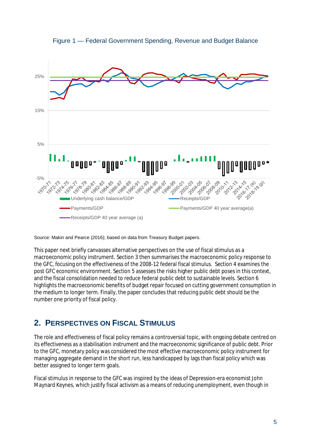



Source: Makin and Pearce (2016); based on data from Treasury Budget papers.

This paper next briefly canvasses alternative perspectives on the use of fiscal stimulus as a macroeconomic policy instrument. Section 3 then summarises the macroeconomic policy response to the GFC, focusing on the effectiveness of the 2008-12 federal fiscal stimulus. Section 4 examines the post GFC economic environment. Section 5 assesses the risks higher public debt poses in this context, and the fiscal consolidation needed to reduce federal public debt to sustainable levels. Section 6 highlights the macroeconomic benefits of budget repair focused on cutting government consumption in the medium to longer term. Finally, the paper concludes that reducing public debt should be the number one priority of fiscal policy.

### **2. PERSPECTIVES ON FISCAL STIMULUS**

The role and effectiveness of fiscal policy remains a controversial topic, with ongoing debate centred on its effectiveness as a stabilisation instrument and the macroeconomic significance of public debt. Prior to the GFC, monetary policy was considered the most effective macroeconomic policy instrument for managing aggregate demand in the short run, less handicapped by lags than fiscal policy which was better assigned to longer term goals.

Fiscal stimulus in response to the GFC was inspired by the ideas of Depression-era economist John Maynard Keynes, which justify fiscal activism as a means of reducing unemployment, even though in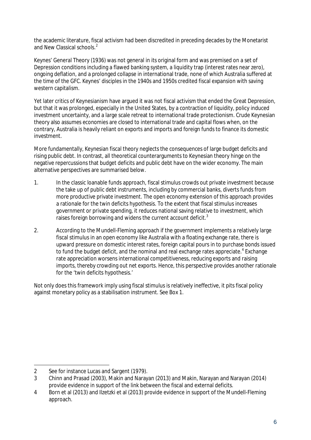the academic literature, fiscal activism had been discredited in preceding decades by the Monetarist and New Classical schools.<sup>[2](#page-5-0)</sup>

Keynes' General Theory (1936) was not general in its original form and was premised on a set of Depression conditions including a flawed banking system, a liquidity trap (interest rates near zero), ongoing deflation, and a prolonged collapse in international trade, none of which Australia suffered at the time of the GFC. Keynes' disciples in the 1940s and 1950s credited fiscal expansion with saving western capitalism.

Yet later critics of Keynesianism have argued it was not fiscal activism that ended the Great Depression, but that it was prolonged, especially in the United States, by a contraction of liquidity, policy induced investment uncertainty, and a large scale retreat to international trade protectionism. Crude Keynesian theory also assumes economies are closed to international trade and capital flows when, on the contrary, Australia is heavily reliant on exports and imports and foreign funds to finance its domestic investment.

More fundamentally, Keynesian fiscal theory neglects the consequences of large budget deficits and rising public debt. In contrast, all theoretical counterarguments to Keynesian theory hinge on the negative repercussions that budget deficits and public debt have on the wider economy. The main alternative perspectives are summarised below.

- 1. In the classic loanable funds approach, fiscal stimulus crowds out private investment because the take up of public debt instruments, including by commercial banks, diverts funds from more productive private investment. The open economy extension of this approach provides a rationale for the twin deficits hypothesis. To the extent that fiscal stimulus increases government or private spending, it reduces national saving relative to investment, which raises foreign borrowing and widens the current account deficit. $3$
- 2. According to the Mundell-Fleming approach if the government implements a relatively large fiscal stimulus in an open economy like Australia with a floating exchange rate, there is upward pressure on domestic interest rates, foreign capital pours in to purchase bonds issued to fund the budget deficit, and the nominal and real exchange rates appreciate. [4](#page-5-2) Exchange rate appreciation worsens international competitiveness, reducing exports and raising imports, thereby crowding out net exports. Hence, this perspective provides another rationale for the 'twin deficits hypothesis.'

Not only does this framework imply using fiscal stimulus is relatively ineffective, it pits fiscal policy against monetary policy as a stabilisation instrument. See Box 1.

<span id="page-5-0"></span> $\overline{a}$ 2 See for instance Lucas and Sargent (1979).

<span id="page-5-1"></span><sup>3</sup> Chinn and Prasad (2003), Makin and Narayan (2013) and Makin, Narayan and Narayan (2014) provide evidence in support of the link between the fiscal and external deficits.

<span id="page-5-2"></span><sup>4</sup> Born et al (2013) and Ilzetzki et al (2013) provide evidence in support of the Mundell-Fleming approach.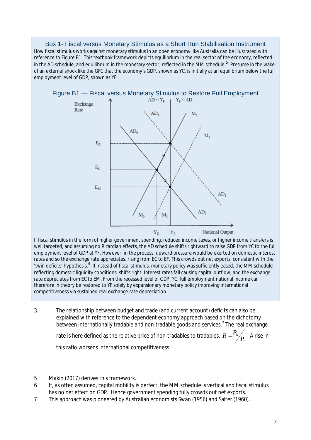Box 1- Fiscal versus Monetary Stimulus as a Short Run Stabilisation Instrument How fiscal stimulus works against monetary stimulus in an open economy like Australia can be illustrated with reference to Figure B1. This textbook framework depicts equilibrium in the real sector of the economy, reflected in the AD schedule, and equilibrium in the monetary sector, reflected in the MM schedule.<sup>[5](#page-6-0)</sup> Presume in the wake of an external shock like the GFC that the economy's GDP, shown as YC, is initially at an equilibrium below the full employment level of GDP, shown as YF.



well targeted, and assuming no Ricardian effects, the AD schedule shifts rightward to raise GDP from YC to the full employment level of GDP at YF. However, in the process, upward pressure would be exerted on domestic interest rates and so the exchange rate appreciates, rising from EC to EF. This crowds out net exports, consistent with the 'twin deficits' hypothesis.<sup>[6](#page-6-1)</sup> If instead of fiscal stimulus, monetary policy was sufficiently eased, the MM schedule reflecting domestic liquidity conditions, shifts right. Interest rates fall causing capital outflow, and the exchange rate depreciates from EC to EM. From the recessed level of GDP, YC, full employment national income can therefore in theory be restored to YF solely by expansionary monetary policy improving international competitiveness via sustained real exchange rate depreciation.

3. The relationship between budget and trade (and current account) deficits can also be explained with reference to the dependent economy approach based on the dichotomy between internationally tradable and non-tradable goods and services.[7](#page-6-2) The real exchange

rate is here defined as the relative price of non-tradables to tradables,  $R = \frac{N}{N}$  $R = \frac{P_N}{P_T}$ . A rise in this ratio worsens international competitiveness.

 $\overline{a}$ 

<span id="page-6-0"></span><sup>5</sup> Makin (2017) derives this framework.

<span id="page-6-1"></span><sup>6</sup> If, as often assumed, capital mobility is perfect, the MM schedule is vertical and fiscal stimulus has no net effect on GDP. Hence government spending fully crowds out net exports.

<span id="page-6-2"></span><sup>7</sup> This approach was pioneered by Australian economists Swan (1956) and Salter (1960).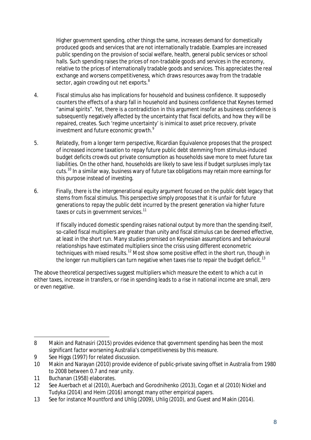Higher government spending, other things the same, increases demand for domestically produced goods and services that are not internationally tradable. Examples are increased public spending on the provision of social welfare, health, general public services or school halls. Such spending raises the prices of non-tradable goods and services in the economy, relative to the prices of internationally tradable goods and services. This appreciates the real exchange and worsens competitiveness, which draws resources away from the tradable sector, again crowding out net exports. $^8$  $^8$ 

- 4. Fiscal stimulus also has implications for household and business confidence. It supposedly counters the effects of a sharp fall in household and business confidence that Keynes termed "animal spirits". Yet, there is a contradiction in this argument insofar as business confidence is subsequently negatively affected by the uncertainty that fiscal deficits, and how they will be repaired, creates. Such 'regime uncertainty' is inimical to asset price recovery, private investment and future economic growth.<sup>[9](#page-7-1)</sup>
- 5. Relatedly, from a longer term perspective, Ricardian Equivalence proposes that the prospect of increased income taxation to repay future public debt stemming from stimulus-induced budget deficits crowds out private consumption as households save more to meet future tax liabilities. On the other hand, households are likely to save less if budget surpluses imply tax cuts.<sup>[10](#page-7-2)</sup> In a similar way, business wary of future tax obligations may retain more earnings for this purpose instead of investing.
- 6. Finally, there is the intergenerational equity argument focused on the public debt legacy that stems from fiscal stimulus. This perspective simply proposes that it is unfair for future generations to repay the public debt incurred by the present generation via higher future taxes or cuts in government services.<sup>[11](#page-7-3)</sup>

If fiscally induced domestic spending raises national output by more than the spending itself, so-called fiscal multipliers are greater than unity and fiscal stimulus can be deemed effective, at least in the short run. Many studies premised on Keynesian assumptions and behavioural relationships have estimated multipliers since the crisis using different econometric techniques with mixed results.<sup>[12](#page-7-4)</sup> Most show some positive effect in the short run, though in the longer run multipliers can turn negative when taxes rise to repair the budget deficit.  $^{\text{13}}$  $^{\text{13}}$  $^{\text{13}}$ 

The above theoretical perspectives suggest multipliers which measure the extent to which a cut in either taxes, increase in transfers, or rise in spending leads to a rise in national income are small, zero or even negative.

<span id="page-7-0"></span> $\overline{a}$ 8 Makin and Ratnasiri (2015) provides evidence that government spending has been the most significant factor worsening Australia's competitiveness by this measure.

<span id="page-7-1"></span><sup>9</sup> See Higgs (1997) for related discussion.

<span id="page-7-2"></span><sup>10</sup> Makin and Narayan (2010) provide evidence of public-private saving offset in Australia from 1980 to 2008 between 0.7 and near unity.

<span id="page-7-3"></span><sup>11</sup> Buchanan (1958) elaborates.

<span id="page-7-4"></span><sup>12</sup> See Auerbach et al (2010), Auerbach and Gorodnihenko (2013), Cogan et al (2010) Nickel and Tudyka (2014) and Heim (2016) amongst many other empirical papers.

<span id="page-7-5"></span><sup>13</sup> See for instance Mountford and Uhlig (2009), Uhlig (2010), and Guest and Makin (2014).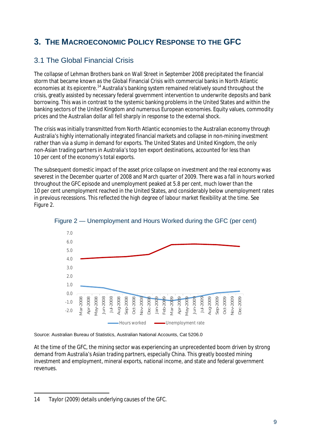# **3. THE MACROECONOMIC POLICY RESPONSE TO THE GFC**

#### 3.1 The Global Financial Crisis

The collapse of Lehman Brothers bank on Wall Street in September 2008 precipitated the financial storm that became known as the Global Financial Crisis with commercial banks in North Atlantic economies at its epicentre.<sup>[14](#page-8-0)</sup> Australia's banking system remained relatively sound throughout the crisis, greatly assisted by necessary federal government intervention to underwrite deposits and bank borrowing. This was in contrast to the systemic banking problems in the United States and within the banking sectors of the United Kingdom and numerous European economies. Equity values, commodity prices and the Australian dollar all fell sharply in response to the external shock.

The crisis was initially transmitted from North Atlantic economies to the Australian economy through Australia's highly internationally integrated financial markets and collapse in non-mining investment rather than via a slump in demand for exports. The United States and United Kingdom, the only non-Asian trading partners in Australia's top ten export destinations, accounted for less than 10 per cent of the economy's total exports.

The subsequent domestic impact of the asset price collapse on investment and the real economy was severest in the December quarter of 2008 and March quarter of 2009. There was a fall in hours worked throughout the GFC episode and unemployment peaked at 5.8 per cent, much lower than the 10 per cent unemployment reached in the United States, and considerably below unemployment rates in previous recessions. This reflected the high degree of labour market flexibility at the time. See Figure 2.





Source: Australian Bureau of Statistics, Australian National Accounts, Cat 5206.0

At the time of the GFC, the mining sector was experiencing an unprecedented boom driven by strong demand from Australia's Asian trading partners, especially China. This greatly boosted mining investment and employment, mineral exports, national income, and state and federal government revenues.

<span id="page-8-0"></span> $\overline{a}$ 14 Taylor (2009) details underlying causes of the GFC.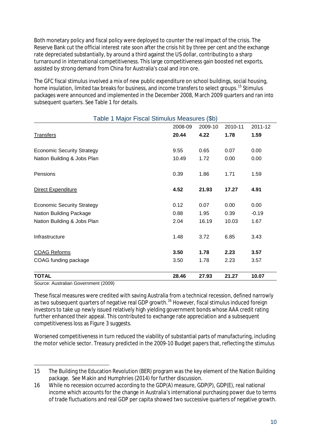Both monetary policy and fiscal policy were deployed to counter the real impact of the crisis. The Reserve Bank cut the official interest rate soon after the crisis hit by three per cent and the exchange rate depreciated substantially, by around a third against the US dollar, contributing to a sharp turnaround in international competitiveness. This large competitiveness gain boosted net exports, assisted by strong demand from China for Australia's coal and iron ore.

The GFC fiscal stimulus involved a mix of new public expenditure on school buildings, social housing, home insulation, limited tax breaks for business, and income transfers to select groups.<sup>[15](#page-9-0)</sup> Stimulus packages were announced and implemented in the December 2008, March 2009 quarters and ran into subsequent quarters. See Table 1 for details.

| <b>TOTAL</b>                                 | 28.46   | 27.93   | 21.27   | 10.07   |
|----------------------------------------------|---------|---------|---------|---------|
|                                              |         |         |         |         |
| COAG funding package                         | 3.50    | 1.78    | 2.23    | 3.57    |
| <b>COAG Reforms</b>                          | 3.50    | 1.78    | 2.23    | 3.57    |
| Infrastructure                               | 1.48    | 3.72    | 6.85    | 3.43    |
| Nation Building & Jobs Plan                  | 2.04    | 16.19   | 10.03   | 1.67    |
| Nation Building Package                      | 0.88    | 1.95    | 0.39    | $-0.19$ |
| <b>Economic Security Strategy</b>            | 0.12    | 0.07    | 0.00    | 0.00    |
| Direct Expenditure                           | 4.52    | 21.93   | 17.27   | 4.91    |
| Pensions                                     | 0.39    | 1.86    | 1.71    | 1.59    |
| Nation Building & Jobs Plan                  | 10.49   | 1.72    | 0.00    | 0.00    |
| <b>Economic Security Strategy</b>            | 9.55    | 0.65    | 0.07    | 0.00    |
| <b>Transfers</b>                             | 20.44   | 4.22    | 1.78    | 1.59    |
|                                              | 2008-09 | 2009-10 | 2010-11 | 2011-12 |
| Table 1 Major Fiscal Stimulus Measures (\$b) |         |         |         |         |

Source: Australian Government (2009)

 $\overline{a}$ 

These fiscal measures were credited with saving Australia from a technical recession, defined narrowly as two subsequent quarters of negative real GDP growth.<sup>[16](#page-9-1)</sup> However, fiscal stimulus induced foreign investors to take up newly issued relatively high yielding government bonds whose AAA credit rating further enhanced their appeal. This contributed to exchange rate appreciation and a subsequent competitiveness loss as Figure 3 suggests.

Worsened competitiveness in turn reduced the viability of substantial parts of manufacturing, including the motor vehicle sector. Treasury predicted in the 2009-10 Budget papers that, reflecting the stimulus

<span id="page-9-0"></span><sup>15</sup> The Building the Education Revolution (BER) program was the key element of the Nation Building package. See Makin and Humphries (2014) for further discussion.

<span id="page-9-1"></span><sup>16</sup> While no recession occurred according to the GDP(A) measure, GDP(P), GDP(E), real national income which accounts for the change in Australia's international purchasing power due to terms of trade fluctuations and real GDP per capita showed two successive quarters of negative growth.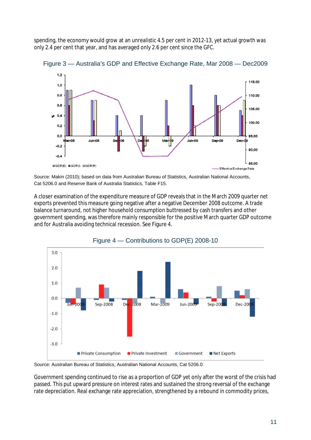spending, the economy would grow at an unrealistic 4.5 per cent in 2012-13, yet actual growth was only 2.4 per cent that year, and has averaged only 2.6 per cent since the GFC.



Figure 3 — Australia's GDP and Effective Exchange Rate, Mar 2008 — Dec2009

Source: Makin (2010); based on data from Australian Bureau of Statistics, Australian National Accounts, Cat 5206.0 and Reserve Bank of Australia Statistics, Table F15.

A closer examination of the expenditure measure of GDP reveals that in the March 2009 quarter net exports prevented this measure going negative after a negative December 2008 outcome. A trade balance turnaround, not higher household consumption buttressed by cash transfers and other government spending, was therefore mainly responsible for the positive March quarter GDP outcome and for Australia avoiding technical recession. See Figure 4.



Figure 4 — Contributions to GDP(E) 2008-10

Source: Australian Bureau of Statistics, Australian National Accounts, Cat 5206.0

Government spending continued to rise as a proportion of GDP yet only after the worst of the crisis had passed. This put upward pressure on interest rates and sustained the strong reversal of the exchange rate depreciation. Real exchange rate appreciation, strengthened by a rebound in commodity prices,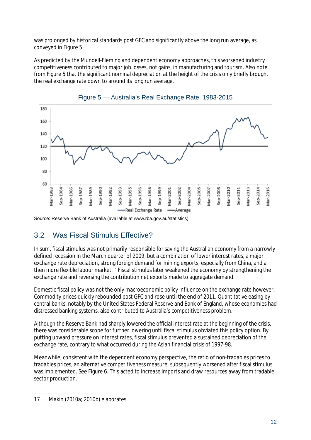was prolonged by historical standards post GFC and significantly above the long run average, as conveyed in Figure 5.

As predicted by the Mundell-Fleming and dependent economy approaches, this worsened industry competitiveness contributed to major job losses, not gains, in manufacturing and tourism. Also note from Figure 5 that the significant nominal depreciation at the height of the crisis only briefly brought the real exchange rate down to around its long run average.





Source: Reserve Bank of Australia (available at www.rba.gov.au/statistics)

### 3.2 Was Fiscal Stimulus Effective?

In sum, fiscal stimulus was not primarily responsible for saving the Australian economy from a narrowly defined recession in the March quarter of 2009, but a combination of lower interest rates, a major exchange rate depreciation, strong foreign demand for mining exports, especially from China, and a then more flexible labour market.<sup>[17](#page-11-0)</sup> Fiscal stimulus later weakened the economy by strengthening the exchange rate and reversing the contribution net exports made to aggregate demand.

Domestic fiscal policy was not the only macroeconomic policy influence on the exchange rate however. Commodity prices quickly rebounded post GFC and rose until the end of 2011. Quantitative easing by central banks, notably by the United States Federal Reserve and Bank of England, whose economies had distressed banking systems, also contributed to Australia's competitiveness problem.

Although the Reserve Bank had sharply lowered the official interest rate at the beginning of the crisis, there was considerable scope for further lowering until fiscal stimulus obviated this policy option. By putting upward pressure on interest rates, fiscal stimulus prevented a sustained depreciation of the exchange rate, contrary to what occurred during the Asian financial crisis of 1997-98.

Meanwhile, consistent with the dependent economy perspective, the ratio of non-tradables prices to tradables prices, an alternative competitiveness measure, subsequently worsened after fiscal stimulus was implemented. See Figure 6. This acted to increase imports and draw resources away from tradable sector production.

<span id="page-11-0"></span> $\overline{a}$ 17 Makin (2010a; 2010b) elaborates.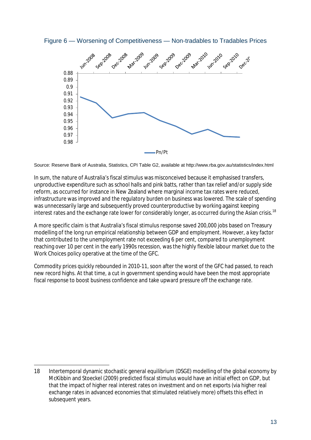Figure 6 — Worsening of Competitiveness — Non-tradables to Tradables Prices



Source: Reserve Bank of Australia, Statistics, CPI Table G2, available at http://www.rba.gov.au/statistics/index.html

In sum, the nature of Australia's fiscal stimulus was misconceived because it emphasised transfers, unproductive expenditure such as school halls and pink batts, rather than tax relief and/or supply side reform, as occurred for instance in New Zealand where marginal income tax rates were reduced, infrastructure was improved and the regulatory burden on business was lowered. The scale of spending was unnecessarily large and subsequently proved counterproductive by working against keeping interest rates and the exchange rate lower for considerably longer, as occurred during the Asian crisis.<sup>[18](#page-12-0)</sup>

A more specific claim is that Australia's fiscal stimulus response saved 200,000 jobs based on Treasury modelling of the long run empirical relationship between GDP and employment. However, a key factor that contributed to the unemployment rate not exceeding 6 per cent, compared to unemployment reaching over 10 per cent in the early 1990s recession, was the highly flexible labour market due to the Work Choices policy operative at the time of the GFC.

Commodity prices quickly rebounded in 2010-11, soon after the worst of the GFC had passed, to reach new record highs. At that time, a cut in government spending would have been the most appropriate fiscal response to boost business confidence and take upward pressure off the exchange rate.

 $\overline{a}$ 

<span id="page-12-0"></span><sup>18</sup> Intertemporal dynamic stochastic general equilibrium (DSGE) modelling of the global economy by McKibbin and Stoeckel (2009) predicted fiscal stimulus would have an initial effect on GDP, but that the impact of higher real interest rates on investment and on net exports (via higher real exchange rates in advanced economies that stimulated relatively more) offsets this effect in subsequent years.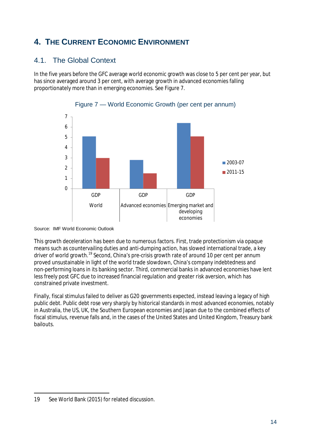# **4. THE CURRENT ECONOMIC ENVIRONMENT**

#### 4.1. The Global Context

In the five years before the GFC average world economic growth was close to 5 per cent per year, but has since averaged around 3 per cent, with average growth in advanced economies falling proportionately more than in emerging economies. See Figure 7.





This growth deceleration has been due to numerous factors. First, trade protectionism via opaque means such as countervailing duties and anti-dumping action, has slowed international trade, a key driver of world growth.<sup>[19](#page-13-0)</sup> Second, China's pre-crisis growth rate of around 10 per cent per annum proved unsustainable in light of the world trade slowdown, China's company indebtedness and non-performing loans in its banking sector. Third, commercial banks in advanced economies have lent less freely post GFC due to increased financial regulation and greater risk aversion, which has constrained private investment.

Finally, fiscal stimulus failed to deliver as G20 governments expected, instead leaving a legacy of high public debt. Public debt rose very sharply by historical standards in most advanced economies, notably in Australia, the US, UK, the Southern European economies and Japan due to the combined effects of fiscal stimulus, revenue falls and, in the cases of the United States and United Kingdom, Treasury bank bailouts.

Source: IMF World Economic Outlook

<span id="page-13-0"></span> $\overline{a}$ 19 See World Bank (2015) for related discussion.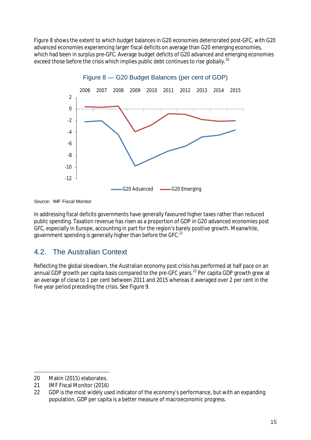Figure 8 shows the extent to which budget balances in G20 economies deteriorated post-GFC, with G20 advanced economies experiencing larger fiscal deficits on average than G20 emerging economies, which had been in surplus pre-GFC. Average budget deficits of G20 advanced and emerging economies exceed those before the crisis which implies public debt continues to rise globally.<sup>[20](#page-14-0)</sup>



Source: IMF Fiscal Monitor

In addressing fiscal deficits governments have generally favoured higher taxes rather than reduced public spending. Taxation revenue has risen as a proportion of GDP in G20 advanced economies post GFC, especially in Europe, accounting in part for the region's barely positive growth. Meanwhile, government spending is generally higher than before the GFC.<sup>[21](#page-14-1)</sup>

#### 4.2. The Australian Context

Reflecting the global slowdown, the Australian economy post crisis has performed at half pace on an annual GDP growth per capita basis compared to the pre-GFC years.<sup>[22](#page-14-2)</sup> Per capita GDP growth grew at an average of close to 1 per cent between 2011 and 2015 whereas it averaged over 2 per cent in the five year period preceding the crisis. See Figure 9.

 $\overline{a}$ 

<span id="page-14-0"></span><sup>20</sup> Makin (2015) elaborates.

<span id="page-14-1"></span><sup>21</sup> IMF Fiscal Monitor (2016)

<span id="page-14-2"></span><sup>22</sup> GDP is the most widely used indicator of the economy's performance, but with an expanding population, GDP per capita is a better measure of macroeconomic progress.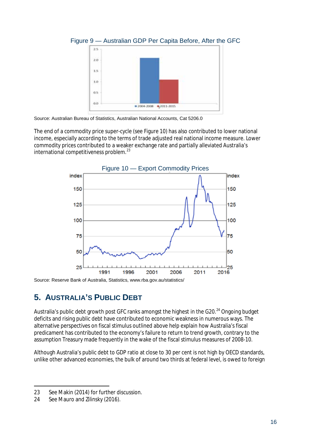

Figure 9 — Australian GDP Per Capita Before, After the GFC

The end of a commodity price super-cycle (see Figure 10) has also contributed to lower national income, especially according to the terms of trade adjusted real national income measure. Lower commodity prices contributed to a weaker exchange rate and partially alleviated Australia's international competitiveness problem.<sup>[23](#page-15-0)</sup>



Source: Reserve Bank of Australia, Statistics, www.rba.gov.au/statistics/

### **5. AUSTRALIA'S PUBLIC DEBT**

Australia's public debt growth post GFC ranks amongst the highest in the G20.<sup>[24](#page-15-1)</sup> Ongoing budget deficits and rising public debt have contributed to economic weakness in numerous ways. The alternative perspectives on fiscal stimulus outlined above help explain how Australia's fiscal predicament has contributed to the economy's failure to return to trend growth, contrary to the assumption Treasury made frequently in the wake of the fiscal stimulus measures of 2008-10.

Although Australia's public debt to GDP ratio at close to 30 per cent is not high by OECD standards, unlike other advanced economies, the bulk of around two thirds at federal level, is owed to foreign

Source: Australian Bureau of Statistics, Australian National Accounts, Cat 5206.0

 $\overline{a}$ 23 See Makin (2014) for further discussion.

<span id="page-15-1"></span><span id="page-15-0"></span><sup>24</sup> See Mauro and Zilinsky (2016).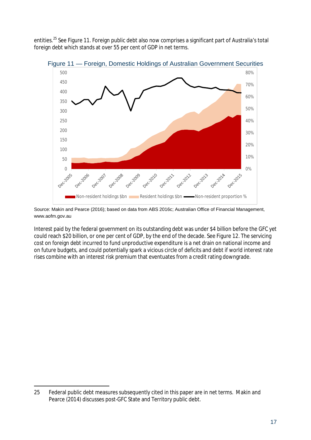entities.<sup>[25](#page-16-0)</sup> See Figure 11. Foreign public debt also now comprises a significant part of Australia's total foreign debt which stands at over 55 per cent of GDP in net terms.



Figure 11 — Foreign, Domestic Holdings of Australian Government Securities

Source: Makin and Pearce (2016); based on data from ABS 2016c; Australian Office of Financial Management, www.aofm.gov.au

Interest paid by the federal government on its outstanding debt was under \$4 billion before the GFC yet could reach \$20 billion, or one per cent of GDP, by the end of the decade. See Figure 12. The servicing cost on foreign debt incurred to fund unproductive expenditure is a net drain on national income and on future budgets, and could potentially spark a vicious circle of deficits and debt if world interest rate rises combine with an interest risk premium that eventuates from a credit rating downgrade.

<span id="page-16-0"></span> $\overline{a}$ 25 Federal public debt measures subsequently cited in this paper are in net terms. Makin and Pearce (2014) discusses post-GFC State and Territory public debt.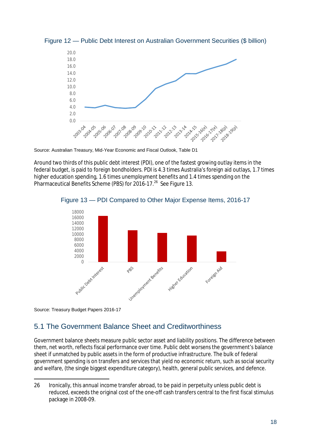

Figure 12 — Public Debt Interest on Australian Government Securities (\$ billion)

Source: Australian Treasury, Mid-Year Economic and Fiscal Outlook, Table D1

Around two thirds of this public debt interest (PDI), one of the fastest growing outlay items in the federal budget, is paid to foreign bondholders. PDI is 4.3 times Australia's foreign aid outlays, 1.7 times higher education spending, 1.6 times unemployment benefits and 1.4 times spending on the Pharmaceutical Benefits Scheme (PBS) for 2016-17.<sup>[26](#page-17-0)</sup> See Figure 13.



Figure 13 — PDI Compared to Other Major Expense Items, 2016-17

Source: Treasury Budget Papers 2016-17

#### 5.1 The Government Balance Sheet and Creditworthiness

Government balance sheets measure public sector asset and liability positions. The difference between them, net worth, reflects fiscal performance over time. Public debt worsens the government's balance sheet if unmatched by public assets in the form of productive infrastructure. The bulk of federal government spending is on transfers and services that yield no economic return, such as social security and welfare, (the single biggest expenditure category), health, general public services, and defence.

<span id="page-17-0"></span> $\overline{a}$ 26 Ironically, this annual income transfer abroad, to be paid in perpetuity unless public debt is reduced, exceeds the original cost of the one-off cash transfers central to the first fiscal stimulus package in 2008-09.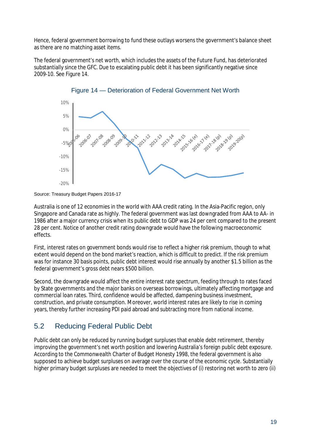Hence, federal government borrowing to fund these outlays worsens the government's balance sheet as there are no matching asset items.

The federal government's net worth, which includes the assets of the Future Fund, has deteriorated substantially since the GFC. Due to escalating public debt it has been significantly negative since 2009-10. See Figure 14.





Australia is one of 12 economies in the world with AAA credit rating. In the Asia-Pacific region, only Singapore and Canada rate as highly. The federal government was last downgraded from AAA to AA- in 1986 after a major currency crisis when its public debt to GDP was 24 per cent compared to the present 28 per cent. Notice of another credit rating downgrade would have the following macroeconomic effects.

First, interest rates on government bonds would rise to reflect a higher risk premium, though to what extent would depend on the bond market's reaction, which is difficult to predict. If the risk premium was for instance 30 basis points, public debt interest would rise annually by another \$1.5 billion as the federal government's gross debt nears \$500 billion.

Second, the downgrade would affect the entire interest rate spectrum, feeding through to rates faced by State governments and the major banks on overseas borrowings, ultimately affecting mortgage and commercial loan rates. Third, confidence would be affected, dampening business investment, construction, and private consumption. Moreover, world interest rates are likely to rise in coming years, thereby further increasing PDI paid abroad and subtracting more from national income.

#### 5.2 Reducing Federal Public Debt

Public debt can only be reduced by running budget surpluses that enable debt retirement, thereby improving the government's net worth position and lowering Australia's foreign public debt exposure. According to the Commonwealth Charter of Budget Honesty 1998, the federal government is also supposed to achieve budget surpluses on average over the course of the economic cycle. Substantially higher primary budget surpluses are needed to meet the objectives of (i) restoring net worth to zero (ii)

Source: Treasury Budget Papers 2016-17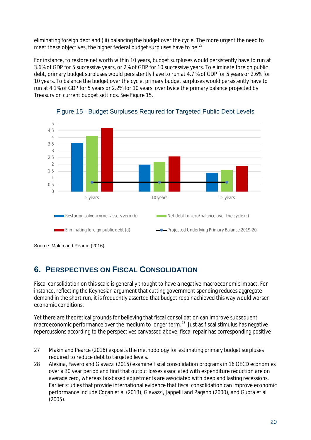eliminating foreign debt and (iii) balancing the budget over the cycle. The more urgent the need to meet these objectives, the higher federal budget surpluses have to be.<sup>[27](#page-19-0)</sup>

For instance, to restore net worth within 10 years, budget surpluses would persistently have to run at 3.6% of GDP for 5 successive years, or 2% of GDP for 10 successive years. To eliminate foreign public debt, primary budget surpluses would persistently have to run at 4.7 % of GDP for 5 years or 2.6% for 10 years. To balance the budget over the cycle, primary budget surpluses would persistently have to run at 4.1% of GDP for 5 years or 2.2% for 10 years, over twice the primary balance projected by Treasury on current budget settings. See Figure 15.





### **6. PERSPECTIVES ON FISCAL CONSOLIDATION**

Fiscal consolidation on this scale is generally thought to have a negative macroeconomic impact. For instance, reflecting the Keynesian argument that cutting government spending reduces aggregate demand in the short run, it is frequently asserted that budget repair achieved this way would worsen economic conditions.

Yet there are theoretical grounds for believing that fiscal consolidation can improve subsequent macroeconomic performance over the medium to longer term.<sup>[28](#page-19-1)</sup> Just as fiscal stimulus has negative repercussions according to the perspectives canvassed above, fiscal repair has corresponding positive

Source: Makin and Pearce (2016)

<span id="page-19-0"></span> $\overline{a}$ 27 Makin and Pearce (2016) exposits the methodology for estimating primary budget surpluses required to reduce debt to targeted levels.

<span id="page-19-1"></span><sup>28</sup> Alesina, Favero and Giavazzi (2015) examine fiscal consolidation programs in 16 OECD economies over a 30 year period and find that output losses associated with expenditure reduction are on average zero, whereas tax-based adjustments are associated with deep and lasting recessions. Earlier studies that provide international evidence that fiscal consolidation can improve economic performance include Cogan et al (2013), Giavazzi, Jappelli and Pagano (2000), and Gupta et al (2005).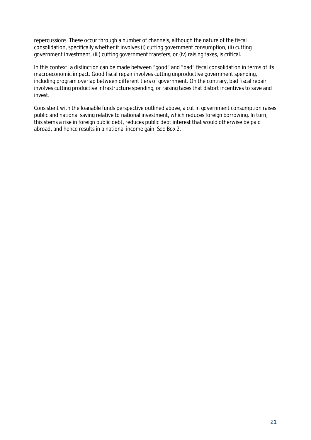repercussions. These occur through a number of channels, although the nature of the fiscal consolidation, specifically whether it involves (i) cutting government consumption, (ii) cutting government investment, (iii) cutting government transfers, or (iv) raising taxes, is critical.

In this context, a distinction can be made between "good" and "bad" fiscal consolidation in terms of its macroeconomic impact. Good fiscal repair involves cutting unproductive government spending, including program overlap between different tiers of government. On the contrary, bad fiscal repair involves cutting productive infrastructure spending, or raising taxes that distort incentives to save and invest.

Consistent with the loanable funds perspective outlined above, a cut in government consumption raises public and national saving relative to national investment, which reduces foreign borrowing. In turn, this stems a rise in foreign public debt, reduces public debt interest that would otherwise be paid abroad, and hence results in a national income gain. See Box 2.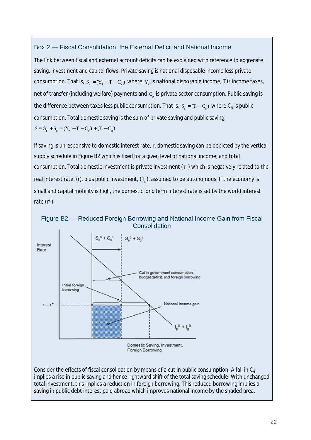#### Box 2 — Fiscal Consolidation, the External Deficit and National Income

The link between fiscal and external account deficits can be explained with reference to aggregate saving, investment and capital flows. Private saving is national disposable income less private consumption. That is,  $S_p = (Y_d - T - C_p)$  where  $Y_d$  is national disposable income, T is income taxes, net of transfer (including welfare) payments and  $C<sub>a</sub>$  is private sector consumption. Public saving is the difference between taxes less public consumption. That is,  $S = (T - C_a)$  where  $C_q$  is public consumption. Total domestic saving is the sum of private saving and public saving,  $S = S_n + S_\circ = (Y_d - T - C_n) + (T - C_\circ)$ 

If saving is unresponsive to domestic interest rate, *r*, domestic saving can be depicted by the vertical supply schedule in Figure B2 which is fixed for a given level of national income, and total consumption. Total domestic investment is private investment  $(I_1)$  which is negatively related to the real interest rate, (r), plus public investment,  $(I_{\nu})$ , assumed to be autonomous. If the economy is small and capital mobility is high, the domestic long term interest rate is set by the world interest rate (r*\**)*.*

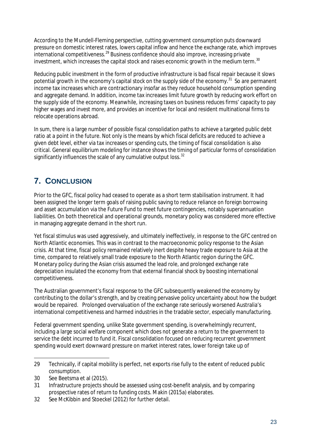According to the Mundell-Fleming perspective, cutting government consumption puts downward pressure on domestic interest rates, lowers capital inflow and hence the exchange rate, which improves international competitiveness.<sup>[29](#page-22-0)</sup> Business confidence should also improve, increasing private investment, which increases the capital stock and raises economic growth in the medium term. $^{30}$  $^{30}$  $^{30}$ 

Reducing public investment in the form of productive infrastructure is bad fiscal repair because it slows potential growth in the economy's capital stock on the supply side of the economy.<sup>[31](#page-22-2)</sup> So are permanent income tax increases which are contractionary insofar as they reduce household consumption spending and aggregate demand. In addition, income tax increases limit future growth by reducing work effort on the supply side of the economy. Meanwhile, increasing taxes on business reduces firms' capacity to pay higher wages and invest more, and provides an incentive for local and resident multinational firms to relocate operations abroad.

In sum, there is a large number of possible fiscal consolidation paths to achieve a targeted public debt ratio at a point in the future. Not only is the means by which fiscal deficits are reduced to achieve a given debt level, either via tax increases or spending cuts, the timing of fiscal consolidation is also critical. General equilibrium modeling for instance shows the timing of particular forms of consolidation significantly influences the scale of any cumulative output loss.<sup>[32](#page-22-3)</sup>

# **7. CONCLUSION**

Prior to the GFC, fiscal policy had ceased to operate as a short term stabilisation instrument. It had been assigned the longer term goals of raising public saving to reduce reliance on foreign borrowing and asset accumulation via the Future Fund to meet future contingencies, notably superannuation liabilities. On both theoretical and operational grounds, monetary policy was considered more effective in managing aggregate demand in the short run.

Yet fiscal stimulus was used aggressively, and ultimately ineffectively, in response to the GFC centred on North Atlantic economies. This was in contrast to the macroeconomic policy response to the Asian crisis. At that time, fiscal policy remained relatively inert despite heavy trade exposure to Asia at the time, compared to relatively small trade exposure to the North Atlantic region during the GFC. Monetary policy during the Asian crisis assumed the lead role, and prolonged exchange rate depreciation insulated the economy from that external financial shock by boosting international competitiveness.

The Australian government's fiscal response to the GFC subsequently weakened the economy by contributing to the dollar's strength, and by creating pervasive policy uncertainty about how the budget would be repaired. Prolonged overvaluation of the exchange rate seriously worsened Australia's international competitiveness and harmed industries in the tradable sector, especially manufacturing.

Federal government spending, unlike State government spending, is overwhelmingly recurrent, including a large social welfare component which does not generate a return to the government to service the debt incurred to fund it. Fiscal consolidation focused on reducing recurrent government spending would exert downward pressure on market interest rates, lower foreign take up of

<span id="page-22-3"></span>32 See McKibbin and Stoeckel (2012) for further detail.

<span id="page-22-0"></span> $\overline{a}$ 29 Technically, if capital mobility is perfect, net exports rise fully to the extent of reduced public consumption.

<span id="page-22-1"></span><sup>30</sup> See Beetsma et al (2015).

<span id="page-22-2"></span><sup>31</sup> Infrastructure projects should be assessed using cost-benefit analysis, and by comparing prospective rates of return to funding costs. Makin (2015a) elaborates.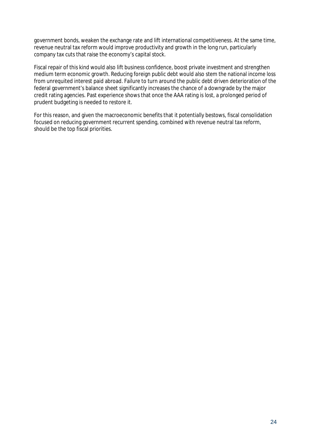government bonds, weaken the exchange rate and lift international competitiveness. At the same time, revenue neutral tax reform would improve productivity and growth in the long run, particularly company tax cuts that raise the economy's capital stock.

Fiscal repair of this kind would also lift business confidence, boost private investment and strengthen medium term economic growth. Reducing foreign public debt would also stem the national income loss from unrequited interest paid abroad. Failure to turn around the public debt driven deterioration of the federal government's balance sheet significantly increases the chance of a downgrade by the major credit rating agencies. Past experience shows that once the AAA rating is lost, a prolonged period of prudent budgeting is needed to restore it.

For this reason, and given the macroeconomic benefits that it potentially bestows, fiscal consolidation focused on reducing government recurrent spending, combined with revenue neutral tax reform, should be the top fiscal priorities.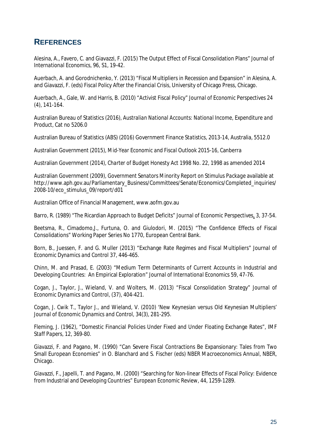### **REFERENCES**

Alesina, A., Favero, C. and Giavazzi, F. (2015) The Output Effect of Fiscal Consolidation Plans" *Journal of International Economics*, 96, S1, 19-42.

Auerbach, A. and Gorodnichenko, Y. (2013) "Fiscal Multipliers in Recession and Expansion" in Alesina, A. and Giavazzi, F. (eds) *Fiscal Policy After the Financial Crisis,* University of Chicago Press, Chicago.

Auerbach, A., Gale, W. and Harris, B. (2010) "Activist Fiscal Policy" *Journal of Economic Perspectives* 24 (4), 141-164.

Australian Bureau of Statistics (2016), *Australian National Accounts: National Income, Expenditure and Product*, Cat no 5206.0

Australian Bureau of Statistics (ABS) (2016) *Government Finance Statistics, 2013-14*, Australia, 5512.0

Australian Government (2015), *Mid-Year Economic and Fiscal Outlook 2015-16*, Canberra

Australian Government (2014), *Charter of Budget Honesty* Act 1998 No. 22, 1998 as amended 2014

Australian Government (2009), *Government Senators Minority Report on Stimulus Package* available at http://www.aph.gov.au/Parliamentary\_Business/Committees/Senate/Economics/Completed\_inquiries/ 2008-10/eco\_stimulus\_09/report/d01

Australian Office of Financial Management, www.aofm.gov.au

Barro, R. (1989) "The Ricardian Approach to Budget Deficits" *Journal of Economic Perspectives*, 3, 37-54.

Beetsma, R., Cimadomo,J., Furtuna, O. and Giulodori, M. (2015) "The Confidence Effects of Fiscal Consolidations" Working Paper Series No 1770, European Central Bank.

Born, B., Juessen, F. and G. Muller (2013) "Exchange Rate Regimes and Fiscal Multipliers" *Journal of Economic Dynamics and Control* 37, 446-465.

Chinn, M. and Prasad, E. (2003) "Medium Term Determinants of Current Accounts in Industrial and Developing Countries: An Empirical Exploration" *Journal of International Economics* 59, 47-76.

Cogan, J., Taylor, J., Wieland, V. and Wolters, M. (2013) "Fiscal Consolidation Strategy" *Journal of Economic Dynamics and Control*, (37), 404-421.

Cogan, J. Cwik T., Taylor J., and Wieland, V. (2010) 'New Keynesian versus Old Keynesian Multipliers' *Journal of Economic Dynamics and Control*, 34(3), 281-295.

Fleming, J. (1962), "Domestic Financial Policies Under Fixed and Under Floating Exchange Rates", *IMF Staff Papers*, 12, 369-80.

Giavazzi, F. and Pagano, M. (1990) "Can Severe Fiscal Contractions Be Expansionary: Tales from Two Small European Economies" in O. Blanchard and S. Fischer (eds) *NBER Macroeconomics Annual*, NBER, Chicago*.*

Giavazzi, F., Japelli, T. and Pagano, M. (2000) "Searching for Non-linear Effects of Fiscal Policy: Evidence from Industrial and Developing Countries" *European Economic Review*, 44, 1259-1289.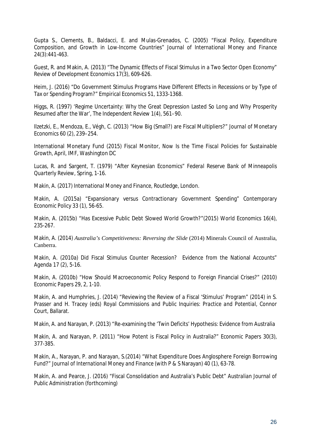Gupta S., Clements, B., Baldacci, E. and Mulas-Grenados, C. (2005) "Fiscal Policy, Expenditure Composition, and Growth in Low-Income Countries" *Journal of International Money and Finance* 24(3):441-463.

Guest, R. and Makin, A. (2013) "The Dynamic Effects of Fiscal Stimulus in a Two Sector Open Economy" *Review of Development Economics* 17(3), 609-626.

Heim, J. (2016) "Do Government Stimulus Programs Have Different Effects in Recessions or by Type of Tax or Spending Program?" *Empirical Economics* 51, 1333-1368.

Higgs, R. (1997) 'Regime Uncertainty: Why the Great Depression Lasted So Long and Why Prosperity Resumed after the War', *The Independent Review* 1(4), 561–90.

Ilzetzki, E., Mendoza, E., Végh, C. (2013) "How Big (Small?) are Fiscal Multipliers?" *Journal of Monetary Economics* 60 (2), 239–254.

International Monetary Fund (2015) *Fiscal Monitor*, *Now Is the Time Fiscal Policies for Sustainable Growth,* April, IMF, Washington DC

Lucas, R. and Sargent, T. (1979) "After Keynesian Economics" *Federal Reserve Bank of Minneapolis Quarterly Review*, Spring, 1-16.

Makin, A. (2017) *International Money and Finance*, Routledge, London.

Makin, A. (2015a) "Expansionary versus Contractionary Government Spending" *Contemporary Economic Policy* 33 (1), 56-65.

Makin, A. (2015b) "Has Excessive Public Debt Slowed World Growth?"(2015) *World Economics* 16(4), 235-267.

Makin, A. (2014) *Australia's Competitiveness: Reversing the Slide* (2014) Minerals Council of Australia, Canberra.

Makin, A. (2010a) Did Fiscal Stimulus Counter Recession? Evidence from the National Accounts" *Agenda* 17 (2), 5-16.

Makin, A. (2010b) "How Should Macroeconomic Policy Respond to Foreign Financial Crises?" (2010) *Economic Papers* 29, 2, 1-10.

Makin, A. and Humphries, J. (2014) "Reviewing the Review of a Fiscal 'Stimulus' Program" (2014) in S. Prasser and H. Tracey (eds) *Royal Commissions and Public Inquiries: Practice and Potential*, Connor Court, Ballarat.

Makin, A. and Narayan, P. (2013) "Re-examining the 'Twin Deficits' Hypothesis: Evidence from Australia

Makin, A. and Narayan, P. (2011) "How Potent is Fiscal Policy in Australia?" *Economic Papers* 30(3), 377-385.

Makin, A., Narayan, P. and Narayan, S.(2014) "What Expenditure Does Anglosphere Foreign Borrowing Fund?" *Journal of International Money and Finance* (with P & S Narayan) 40 (1), 63-78.

Makin, A. and Pearce, J. (2016) "Fiscal Consolidation and Australia's Public Debt" *Australian Journal of Public Administration* (forthcoming)